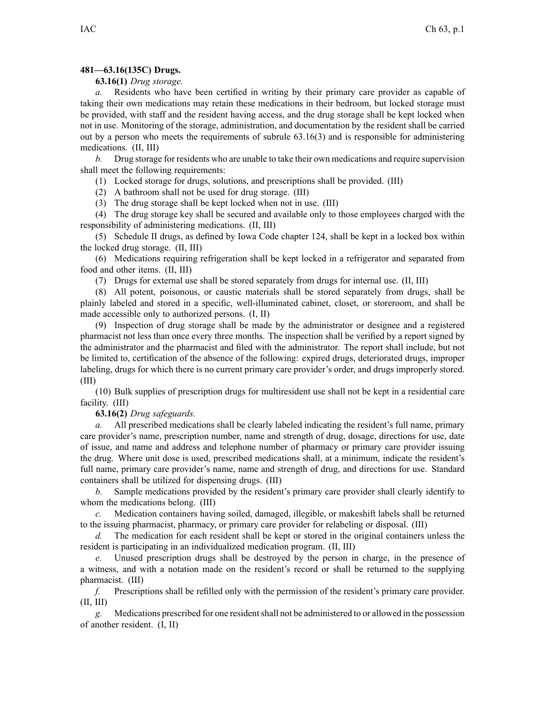## **481—63.16(135C) Drugs.**

**63.16(1)** *Drug storage.*

*a.* Residents who have been certified in writing by their primary care provider as capable of taking their own medications may retain these medications in their bedroom, but locked storage must be provided, with staff and the resident having access, and the drug storage shall be kept locked when not in use. Monitoring of the storage, administration, and documentation by the resident shall be carried out by <sup>a</sup> person who meets the requirements of subrule [63.16\(3\)](https://www.legis.iowa.gov/docs/iac/rule/481.63.16.pdf) and is responsible for administering medications. (II, III)

*b.* Drug storage for residents who are unable to take their own medications and require supervision shall meet the following requirements:

(1) Locked storage for drugs, solutions, and prescriptions shall be provided. (III)

(2) A bathroom shall not be used for drug storage. (III)

(3) The drug storage shall be kept locked when not in use. (III)

(4) The drug storage key shall be secured and available only to those employees charged with the responsibility of administering medications. (II, III)

(5) Schedule II drugs, as defined by Iowa Code chapter [124](https://www.legis.iowa.gov/docs/ico/chapter/2017/124.pdf), shall be kept in <sup>a</sup> locked box within the locked drug storage. (II, III)

(6) Medications requiring refrigeration shall be kept locked in <sup>a</sup> refrigerator and separated from food and other items. (II, III)

(7) Drugs for external use shall be stored separately from drugs for internal use. (II, III)

(8) All potent, poisonous, or caustic materials shall be stored separately from drugs, shall be plainly labeled and stored in <sup>a</sup> specific, well-illuminated cabinet, closet, or storeroom, and shall be made accessible only to authorized persons. (I, II)

(9) Inspection of drug storage shall be made by the administrator or designee and <sup>a</sup> registered pharmacist not less than once every three months. The inspection shall be verified by <sup>a</sup> repor<sup>t</sup> signed by the administrator and the pharmacist and filed with the administrator. The repor<sup>t</sup> shall include, but not be limited to, certification of the absence of the following: expired drugs, deteriorated drugs, improper labeling, drugs for which there is no current primary care provider's order, and drugs improperly stored. (III)

(10) Bulk supplies of prescription drugs for multiresident use shall not be kept in <sup>a</sup> residential care facility. (III)

**63.16(2)** *Drug safeguards.*

*a.* All prescribed medications shall be clearly labeled indicating the resident's full name, primary care provider's name, prescription number, name and strength of drug, dosage, directions for use, date of issue, and name and address and telephone number of pharmacy or primary care provider issuing the drug. Where unit dose is used, prescribed medications shall, at <sup>a</sup> minimum, indicate the resident's full name, primary care provider's name, name and strength of drug, and directions for use. Standard containers shall be utilized for dispensing drugs. (III)

*b.* Sample medications provided by the resident's primary care provider shall clearly identify to whom the medications belong. (III)

*c.* Medication containers having soiled, damaged, illegible, or makeshift labels shall be returned to the issuing pharmacist, pharmacy, or primary care provider for relabeling or disposal. (III)

*d.* The medication for each resident shall be kept or stored in the original containers unless the resident is participating in an individualized medication program. (II, III)

*e.* Unused prescription drugs shall be destroyed by the person in charge, in the presence of <sup>a</sup> witness, and with <sup>a</sup> notation made on the resident's record or shall be returned to the supplying pharmacist. (III)

*f.* Prescriptions shall be refilled only with the permission of the resident's primary care provider. (II, III)

*g.* Medications prescribed for one residentshall not be administered to or allowed in the possession of another resident. (I, II)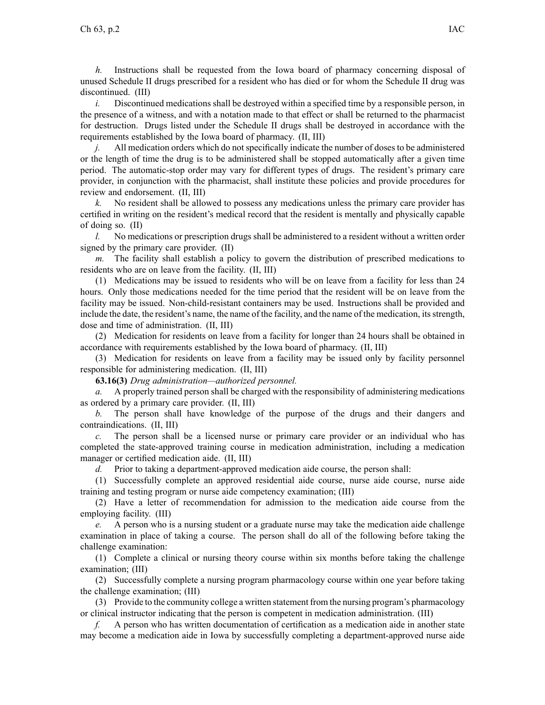*h.* Instructions shall be requested from the Iowa board of pharmacy concerning disposal of unused Schedule II drugs prescribed for <sup>a</sup> resident who has died or for whom the Schedule II drug was discontinued. (III)

*i.* Discontinued medications shall be destroyed within a specified time by a responsible person, in the presence of <sup>a</sup> witness, and with <sup>a</sup> notation made to that effect or shall be returned to the pharmacist for destruction. Drugs listed under the Schedule II drugs shall be destroyed in accordance with the requirements established by the Iowa board of pharmacy. (II, III)

*j.* All medication orders which do not specifically indicate the number of doses to be administered or the length of time the drug is to be administered shall be stopped automatically after <sup>a</sup> given time period. The automatic-stop order may vary for different types of drugs. The resident's primary care provider, in conjunction with the pharmacist, shall institute these policies and provide procedures for review and endorsement. (II, III)

*k.* No resident shall be allowed to possess any medications unless the primary care provider has certified in writing on the resident's medical record that the resident is mentally and physically capable of doing so. (II)

*l.* No medications or prescription drugs shall be administered to a resident without a written order signed by the primary care provider. (II)

*m.* The facility shall establish <sup>a</sup> policy to govern the distribution of prescribed medications to residents who are on leave from the facility. (II, III)

(1) Medications may be issued to residents who will be on leave from <sup>a</sup> facility for less than 24 hours. Only those medications needed for the time period that the resident will be on leave from the facility may be issued. Non-child-resistant containers may be used. Instructions shall be provided and include the date, the resident's name, the name of the facility, and the name of the medication, itsstrength, dose and time of administration. (II, III)

(2) Medication for residents on leave from <sup>a</sup> facility for longer than 24 hours shall be obtained in accordance with requirements established by the Iowa board of pharmacy. (II, III)

(3) Medication for residents on leave from <sup>a</sup> facility may be issued only by facility personnel responsible for administering medication. (II, III)

**63.16(3)** *Drug administration—authorized personnel.*

*a.* A properly trained person shall be charged with the responsibility of administering medications as ordered by <sup>a</sup> primary care provider. (II, III)

*b.* The person shall have knowledge of the purpose of the drugs and their dangers and contraindications. (II, III)

*c.* The person shall be <sup>a</sup> licensed nurse or primary care provider or an individual who has completed the state-approved training course in medication administration, including <sup>a</sup> medication manager or certified medication aide. (II, III)

*d.* Prior to taking <sup>a</sup> department-approved medication aide course, the person shall:

(1) Successfully complete an approved residential aide course, nurse aide course, nurse aide training and testing program or nurse aide competency examination; (III)

(2) Have <sup>a</sup> letter of recommendation for admission to the medication aide course from the employing facility. (III)

*e.* A person who is <sup>a</sup> nursing student or <sup>a</sup> graduate nurse may take the medication aide challenge examination in place of taking <sup>a</sup> course. The person shall do all of the following before taking the challenge examination:

(1) Complete <sup>a</sup> clinical or nursing theory course within six months before taking the challenge examination; (III)

(2) Successfully complete <sup>a</sup> nursing program pharmacology course within one year before taking the challenge examination; (III)

(3) Provide to the community college <sup>a</sup> written statement from the nursing program's pharmacology or clinical instructor indicating that the person is competent in medication administration. (III)

*f.* A person who has written documentation of certification as <sup>a</sup> medication aide in another state may become <sup>a</sup> medication aide in Iowa by successfully completing <sup>a</sup> department-approved nurse aide